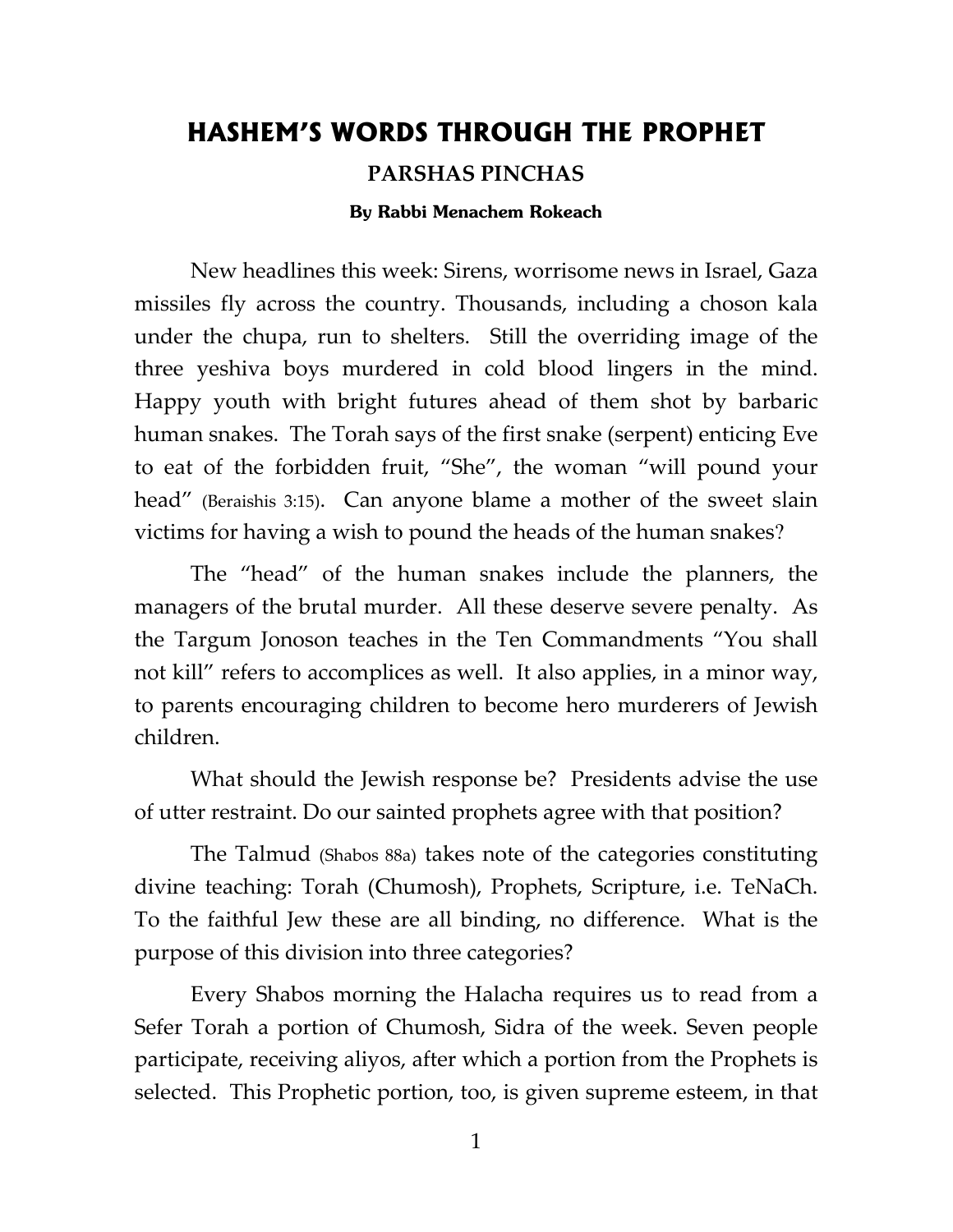## **HASHEM'S WORDS THROUGH THE PROPHET**

## **PARSHAS PINCHAS**

## **By Rabbi Menachem Rokeach**

New headlines this week: Sirens, worrisome news in Israel, Gaza missiles fly across the country. Thousands, including a choson kala under the chupa, run to shelters. Still the overriding image of the three yeshiva boys murdered in cold blood lingers in the mind. Happy youth with bright futures ahead of them shot by barbaric human snakes. The Torah says of the first snake (serpent) enticing Eve to eat of the forbidden fruit, "She", the woman "will pound your head" (Beraishis 3:15). Can anyone blame a mother of the sweet slain victims for having a wish to pound the heads of the human snakes?

The "head" of the human snakes include the planners, the managers of the brutal murder. All these deserve severe penalty. As the Targum Jonoson teaches in the Ten Commandments "You shall not kill" refers to accomplices as well. It also applies, in a minor way, to parents encouraging children to become hero murderers of Jewish children.

What should the Jewish response be? Presidents advise the use of utter restraint. Do our sainted prophets agree with that position?

The Talmud (Shabos 88a) takes note of the categories constituting divine teaching: Torah (Chumosh), Prophets, Scripture, i.e. TeNaCh. To the faithful Jew these are all binding, no difference. What is the purpose of this division into three categories?

Every Shabos morning the Halacha requires us to read from a Sefer Torah a portion of Chumosh, Sidra of the week. Seven people participate, receiving aliyos, after which a portion from the Prophets is selected. This Prophetic portion, too, is given supreme esteem, in that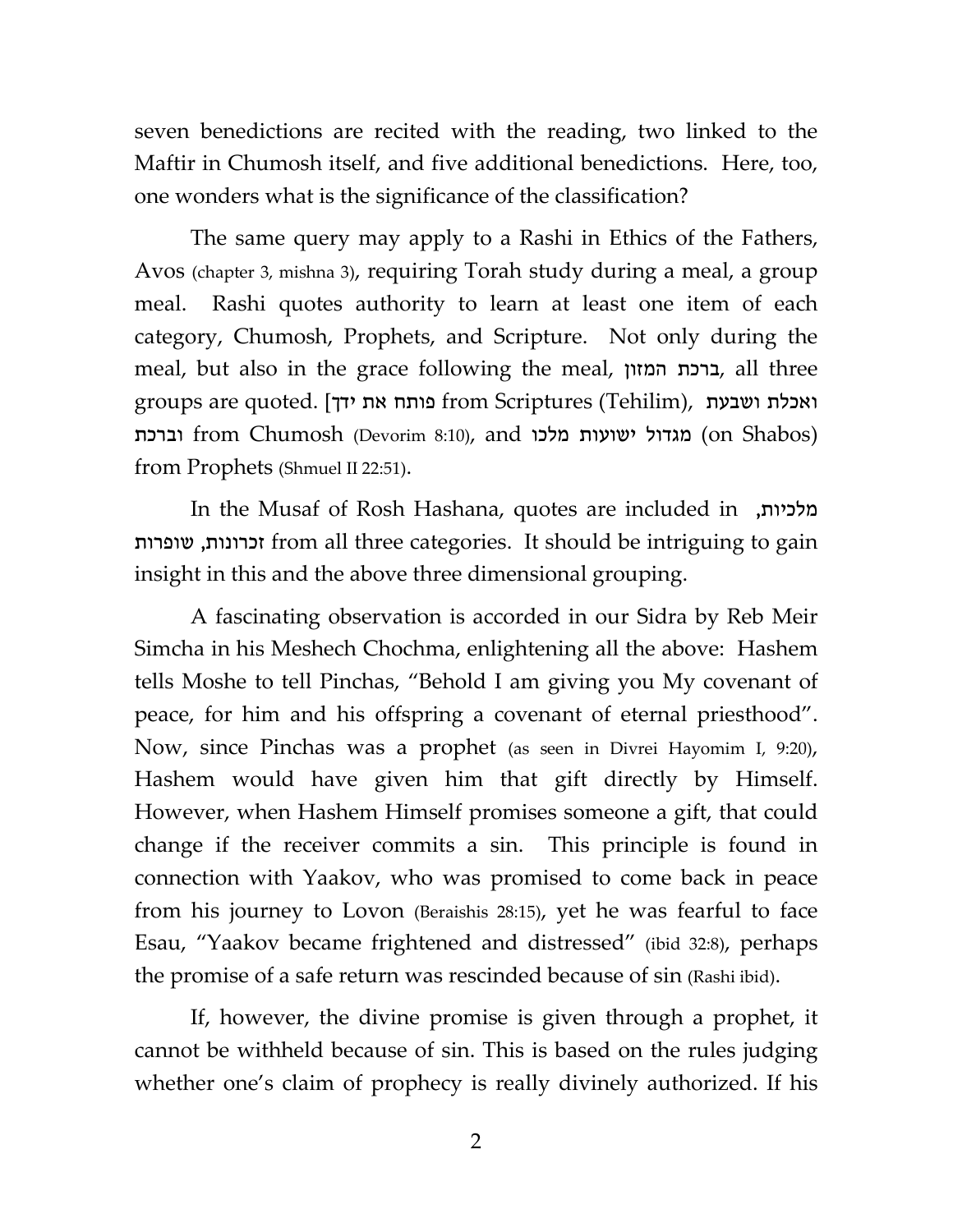seven benedictions are recited with the reading, two linked to the Maftir in Chumosh itself, and five additional benedictions. Here, too, one wonders what is the significance of the classification?

The same query may apply to a Rashi in Ethics of the Fathers, Avos (chapter 3, mishna 3), requiring Torah study during a meal, a group meal. Rashi quotes authority to learn at least one item of each category, Chumosh, Prophets, and Scripture. Not only during the meal, but also in the grace following the meal, המזון ברכת, all three groups are quoted. [יאכלת ושבעת from Scriptures (Tehilim), ואכלת ושבעת וברכת from Chumosh (Devorim 8:10), and מגדול ישועות מלכו (on Shabos) from Prophets (Shmuel II 22:51).

In the Musaf of Rosh Hashana, quotes are included in ,מלכיות שופרות ,זכרונות from all three categories. It should be intriguing to gain insight in this and the above three dimensional grouping.

A fascinating observation is accorded in our Sidra by Reb Meir Simcha in his Meshech Chochma, enlightening all the above: Hashem tells Moshe to tell Pinchas, "Behold I am giving you My covenant of peace, for him and his offspring a covenant of eternal priesthood". Now, since Pinchas was a prophet (as seen in Divrei Hayomim I, 9:20), Hashem would have given him that gift directly by Himself. However, when Hashem Himself promises someone a gift, that could change if the receiver commits a sin. This principle is found in connection with Yaakov, who was promised to come back in peace from his journey to Lovon (Beraishis 28:15), yet he was fearful to face Esau, "Yaakov became frightened and distressed" (ibid 32:8), perhaps the promise of a safe return was rescinded because of sin (Rashi ibid).

If, however, the divine promise is given through a prophet, it cannot be withheld because of sin. This is based on the rules judging whether one's claim of prophecy is really divinely authorized. If his